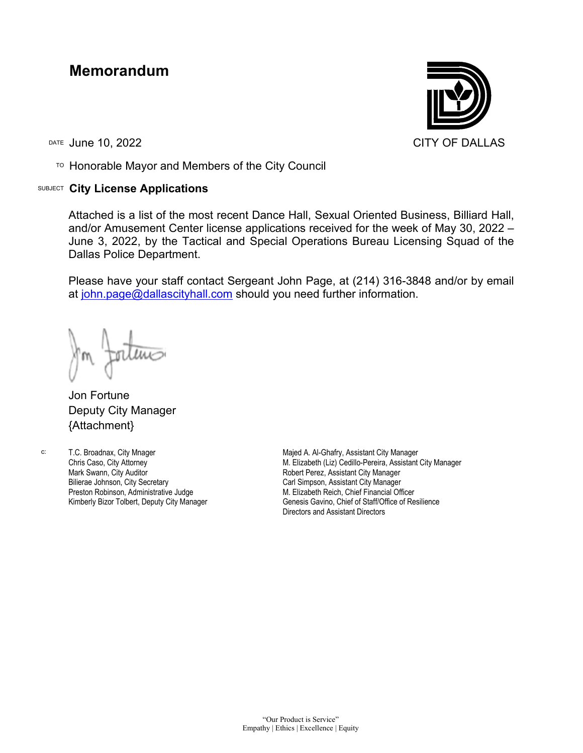## **Memorandum**

TO Honorable Mayor and Members of the City Council

## SUBJECT **City License Applications**



Attached is a list of the most recent Dance Hall, Sexual Oriented Business, Billiard Hall, and/or Amusement Center license applications received for the week of May 30, 2022 – June 3, 2022, by the Tactical and Special Operations Bureau Licensing Squad of the Dallas Police Department.

Please have your staff contact Sergeant John Page, at (214) 316-3848 and/or by email at [john.page@dallascityhall.com](mailto:john.page@dallascityhall.com) should you need further information.

Jon Fortune Deputy City Manager {Attachment}

c: T.C. Broadnax, City Mnager Chris Caso, City Attorney Mark Swann, City Auditor Bilierae Johnson, City Secretary Preston Robinson, Administrative Judge Kimberly Bizor Tolbert, Deputy City Manager

Majed A. Al-Ghafry, Assistant City Manager M. Elizabeth (Liz) Cedillo-Pereira, Assistant City Manager Robert Perez, Assistant City Manager Carl Simpson, Assistant City Manager M. Elizabeth Reich, Chief Financial Officer Genesis Gavino, Chief of Staff/Office of Resilience Directors and Assistant Directors